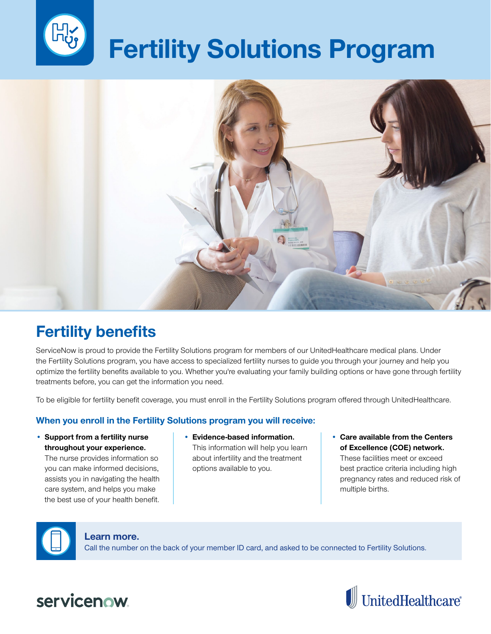

# **Fertility Solutions Program**



## **Fertility benefits**

ServiceNow is proud to provide the Fertility Solutions program for members of our UnitedHealthcare medical plans. Under the Fertility Solutions program, you have access to specialized fertility nurses to guide you through your journey and help you optimize the fertility benefits available to you. Whether you're evaluating your family building options or have gone through fertility treatments before, you can get the information you need.

To be eligible for fertility benefit coverage, you must enroll in the Fertility Solutions program offered through UnitedHealthcare.

### **When you enroll in the Fertility Solutions program you will receive:**

• **Support from a fertility nurse throughout your experience.**

The nurse provides information so you can make informed decisions, assists you in navigating the health care system, and helps you make the best use of your health benefit.

- **Evidence-based information.** This information will help you learn about infertility and the treatment options available to you.
- **Care available from the Centers**  of Excellence (COE) network. These facilities meet or exceed best practice criteria including high pregnancy rates and reduced risk of multiple births.

#### **Learn more.**

Call the number on the back of your member ID card, and asked to be connected to Fertility Solutions.